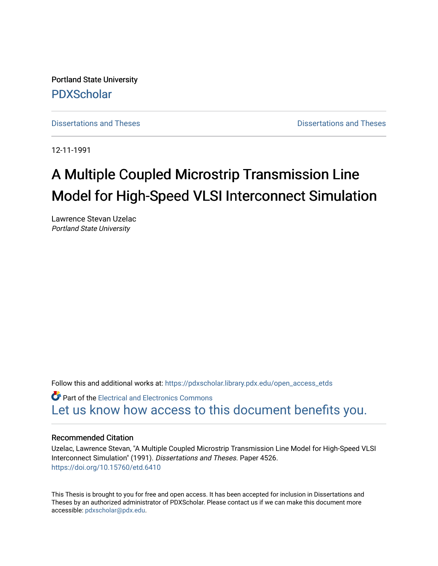Portland State University [PDXScholar](https://pdxscholar.library.pdx.edu/)

[Dissertations and Theses](https://pdxscholar.library.pdx.edu/open_access_etds) **Dissertations** and Theses **Dissertations and Theses** 

12-11-1991

# A Multiple Coupled Microstrip Transmission Line Model for High-Speed VLSI Interconnect Simulation

Lawrence Stevan Uzelac Portland State University

Follow this and additional works at: [https://pdxscholar.library.pdx.edu/open\\_access\\_etds](https://pdxscholar.library.pdx.edu/open_access_etds?utm_source=pdxscholar.library.pdx.edu%2Fopen_access_etds%2F4526&utm_medium=PDF&utm_campaign=PDFCoverPages)

Part of the [Electrical and Electronics Commons](http://network.bepress.com/hgg/discipline/270?utm_source=pdxscholar.library.pdx.edu%2Fopen_access_etds%2F4526&utm_medium=PDF&utm_campaign=PDFCoverPages) [Let us know how access to this document benefits you.](http://library.pdx.edu/services/pdxscholar-services/pdxscholar-feedback/) 

#### Recommended Citation

Uzelac, Lawrence Stevan, "A Multiple Coupled Microstrip Transmission Line Model for High-Speed VLSI Interconnect Simulation" (1991). Dissertations and Theses. Paper 4526. <https://doi.org/10.15760/etd.6410>

This Thesis is brought to you for free and open access. It has been accepted for inclusion in Dissertations and Theses by an authorized administrator of PDXScholar. Please contact us if we can make this document more accessible: [pdxscholar@pdx.edu.](mailto:pdxscholar@pdx.edu)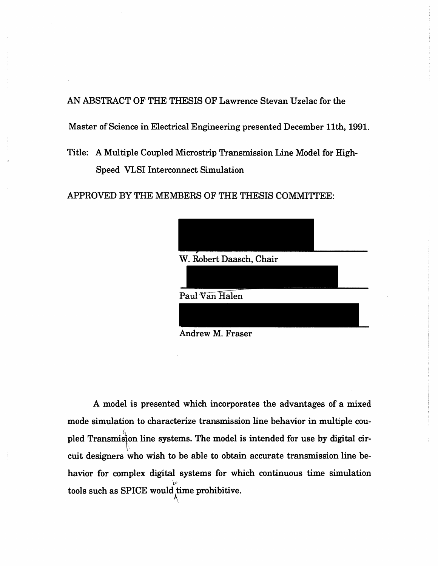AN ABSTRACT OF THE THESIS OF Lawrence Stevan Uzelac for the

Master of Science in Electrical Engineering presented December 11th, 1991.

Title: A Multiple Coupled Microstrip Transmission Line Model for High-Speed VLSI Interconnect Simulation

APPROVED BY THE MEMBERS OF THE THESIS COMMITrEE:

| W. Robert Daasch, Chair |  |
|-------------------------|--|
|                         |  |
| Paul Van Halen          |  |
|                         |  |
|                         |  |

Andrew M. Fraser

A model is presented which incorporates the advantages of a mixed mode simulation to characterize transmission line behavior in multiple coupled Transmiston line systems. The model is intended for use by digital cirp. cuit designers who wish to be able to obtain accurate transmission line behavior for complex digital systems for which continuous time simulation  $\sigma$  $\rm{tools}$  such as SPICE would time prohibitive.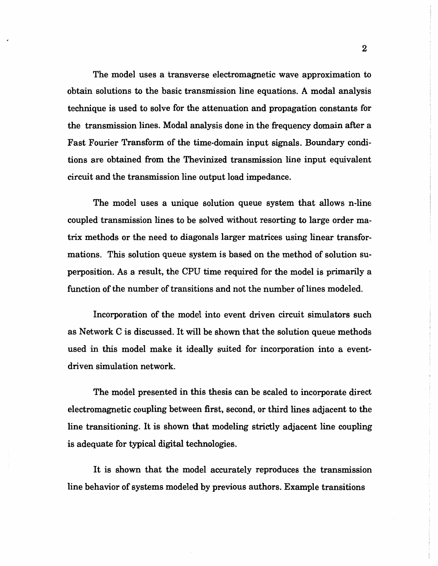The model uses a transverse electromagnetic wave approximation to obtain solutions to the basic transmission line equations. A modal analysis technique is used to solve for the attenuation and propagation constants for the transmission lines. Modal analysis done in the frequency domain after a Fast Fourier Transform of the time-domain input signals. Boundary conditions are obtained from the Thevinized transmission line input equivalent circuit and the transmission line output load impedance.

The model uses a unique solution queue system that allows n-line coupled transmission lines to be solved without resorting to large order matrix methods or the need to diagonals larger matrices using linear transformations. This solution queue system is based on the method of solution superposition. As a result, the CPU time required for the model is primarily a function of the number of transitions and not the number of lines modeled.

Incorporation of the model into event driven circuit simulators such as Network Cis discussed. It will be shown that the solution queue methods used in this model make it ideally suited for incorporation into a eventdriven simulation network.

The model presented in this thesis can be scaled to incorporate direct electromagnetic coupling between first, second, or third lines adjacent to the line transitioning. It is shown that modeling strictly adjacent line coupling is adequate for typical digital technologies.

It is shown that the model accurately reproduces the transmission line behavior of systems modeled by previous authors. Example transitions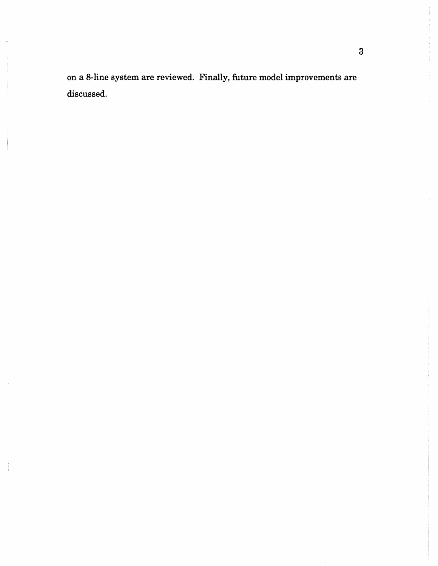on a 8-line system are reviewed. Finally, future model improvements are discussed.

 $\ddot{\phantom{1}}$ 

 $\frac{1}{2}$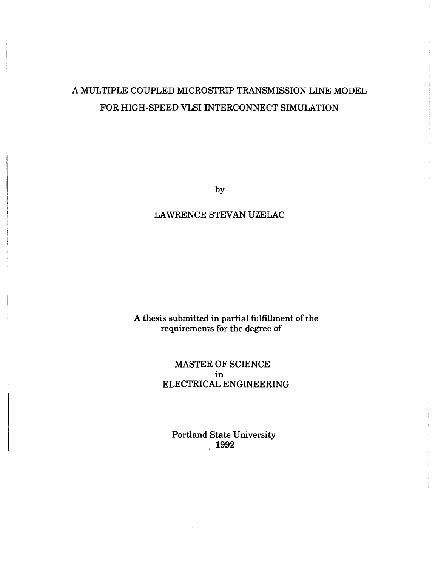# A MULTIPLE COUPLED MICROSTRIP TRANSMISSION LINE MODEL FOR HIGH-SPEED VLSI INTERCONNECT SIMULATION

by

## LAWRENCE STEVAN UZELAC

## A thesis submitted in partial fulfillment of the requirements for the degree of

### MASTER OF SCIENCE in ELECTRICAL ENGINEERING

Portland State University  $.1992$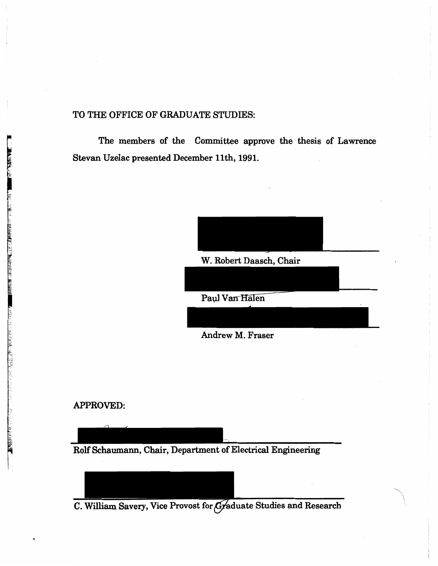#### TO THE OFFICE OF GRADUATE STUDIES:

The members of the Committee approve the thesis of Lawrence Stevan Uzelac presented December 11th, 1991.



 $\overline{\phantom{0}}$ 

Paul Van Halen

Andrew M. Fraser

#### APPROVED:

\_ \_ Rolf Schaumann, Chair, Department of Electrical Engineering

C. William Savery, Vice Provost for Graduate Studies and Research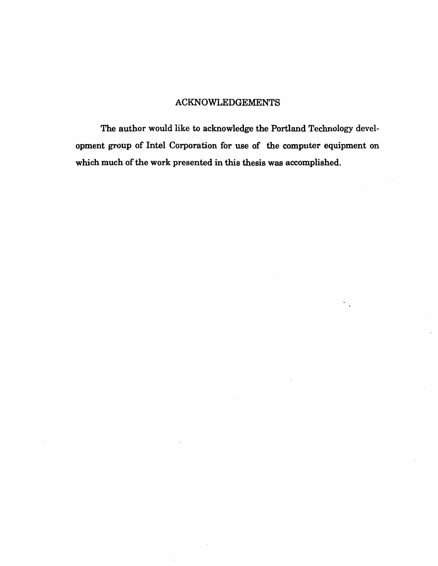## ACKNOWLEDGEMENTS

The author would like to acknowledge the Portland Technology development group of Intel Corporation for use of the computer equipment on which much of the work presented in this thesis was accomplished.

 $\ddot{\phantom{a}}$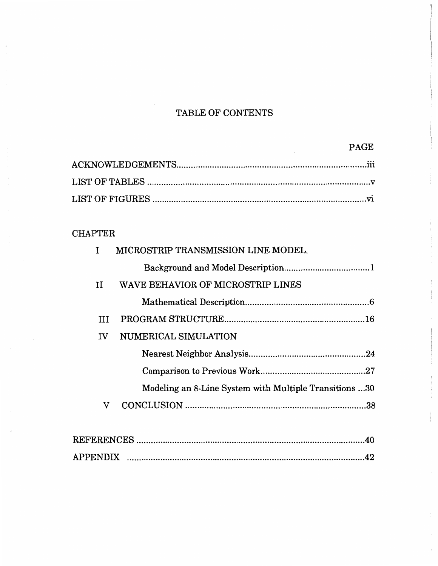# TABLE OF CONTENTS

# **CHAPTER**

| I  | MICROSTRIP TRANSMISSION LINE MODEL.                    |     |
|----|--------------------------------------------------------|-----|
|    |                                                        |     |
| II | WAVE BEHAVIOR OF MICROSTRIP LINES                      |     |
|    |                                                        |     |
| Ш  |                                                        |     |
| IV | NUMERICAL SIMULATION                                   |     |
|    |                                                        |     |
|    |                                                        |     |
|    | Modeling an 8-Line System with Multiple Transitions 30 |     |
| v  |                                                        |     |
|    |                                                        |     |
|    |                                                        | .40 |
|    |                                                        |     |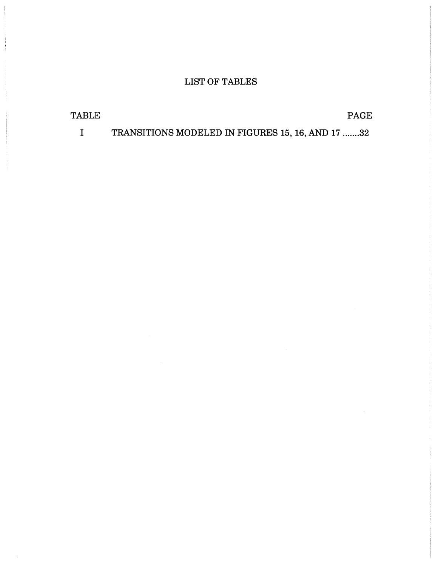# LIST OF TABLES

| TABLE |  | PAGE |
|-------|--|------|
|       |  |      |

I TRANSITIONS MODELED IN FIGURES 15, 16, AND 17 ....... 32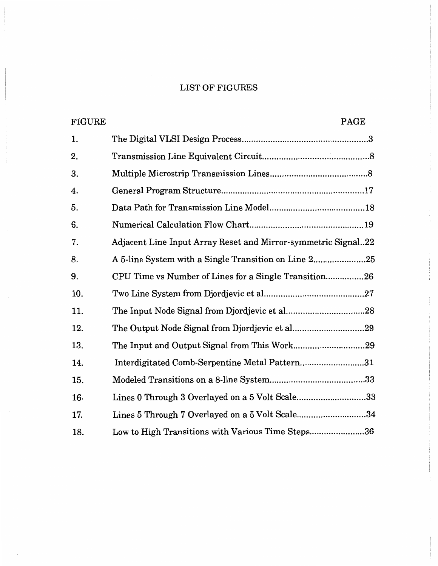# LIST OF FIGURES

| <b>FIGURE</b> | PAGE                                                          |
|---------------|---------------------------------------------------------------|
| 1.            |                                                               |
| 2.            |                                                               |
| 3.            |                                                               |
| 4.            |                                                               |
| 5.            |                                                               |
| 6.            |                                                               |
| 7.            | Adjacent Line Input Array Reset and Mirror-symmetric Signal22 |
| 8.            | A 5-line System with a Single Transition on Line 225          |
| 9.            | CPU Time vs Number of Lines for a Single Transition26         |
| 10.           |                                                               |
| 11.           |                                                               |
| 12.           |                                                               |
| 13.           |                                                               |
| 14.           | Interdigitated Comb-Serpentine Metal Pattern31                |
| 15.           |                                                               |
| 16.           | Lines 0 Through 3 Overlayed on a 5 Volt Scale33               |
| 17.           | Lines 5 Through 7 Overlayed on a 5 Volt Scale34               |
| 18.           | 36<br>Low to High Transitions with Various Time Steps         |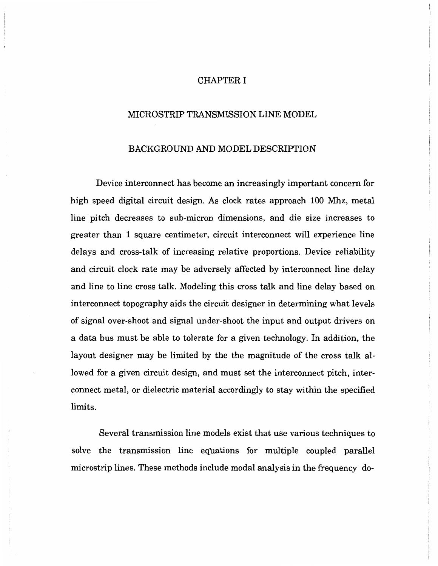#### CHAPTER I

#### MICROSTRIP TRANSMISSION LINE MODEL

#### BACKGROUND AND MODEL DESCRIPTION

Device interconnect has become an increasingly important concern for high speed digital circuit design. As clock rates approach 100 Mhz, metal line pitch decreases to sub-micron dimensions, and die size increases to greater than 1 square centimeter, circuit interconnect will experience line delays and cross-talk of increasing relative proportions. Device reliability and circuit clock rate may be adversely affected by interconnect line delay and line to line cross talk. Modeling this cross talk and line delay based on interconnect topography aids the circuit designer in determining what levels of signal over-shoot and signal under-shoot the input and output drivers on a data bus must be able to tolerate for a given technology. In addition, the layout designer may be limited by the the magnitude of the cross talk allowed for a given circuit design, and must set the interconnect pitch, interconnect metal, or dielectric material accordingly to stay within the specified limits.

Several transmission line models exist that use various techniques to solve the transmission line equations for multiple coupled parallel microstrip lines. These methods include modal analysis in the frequency do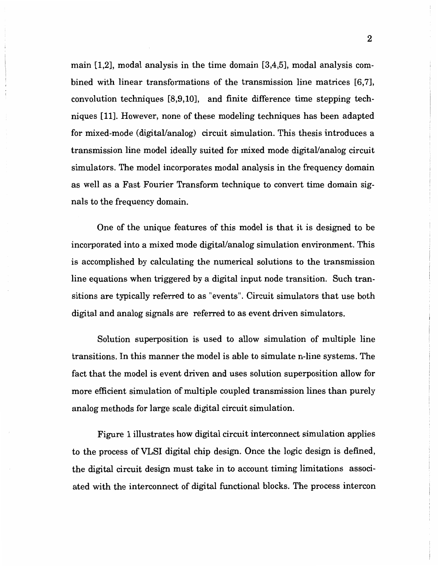main [1,2], modal analysis in the time domain [3,4,5], modal analysis combined with linear transformations of the transmission line matrices [6,7], convolution techniques [8,9,10], and finite difference time stepping techniques [11]. However, none of these modeling techniques has been adapted for mixed-mode (digital/analog) circuit simulation. This thesis introduces a transmission line model ideally suited for mixed mode digital/analog circuit simulators. The model incorporates modal analysis in the frequency domain as well as a Fast Fourier Transform technique to convert time domain signals to the frequency domain.

One of the unique features of this model is that it is designed to be incorporated into a mixed mode digital/analog simulation environment. This is accomplished by calculating the numerical solutions to the transmission line equations when triggered by a digital input node transition. Such transitions are typically referred to as "events". Circuit simulators that use both digital and analog signals are referred to as event driven simulators.

Solution superposition is used to allow simulation of multiple line transitions. In this manner the model is able to simulate n-line systems. The fact that the model is event driven and uses solution superposition allow for more efficient simulation of multiple coupled transmission lines than purely analog methods for large scale digital circuit simulation.

Figure 1 illustrates how digital circuit interconnect simulation applies to the process of VLSI digital chip design. Once the logic design is defined, the digital circuit design must take in to account timing limitations associated with the interconnect of digital functional blocks. The process intercon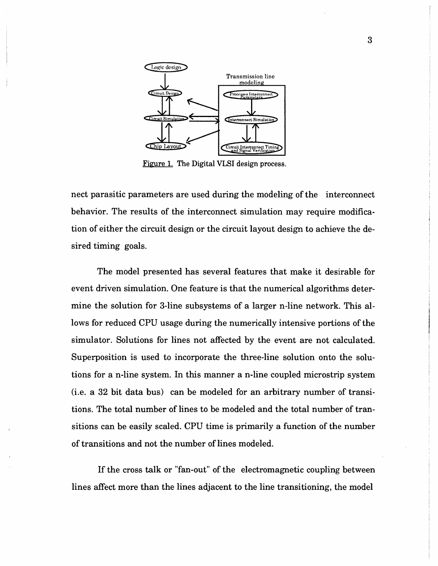

Figure 1. The Digital VLSI design process.

nect parasitic parameters are used during the modeling of the interconnect behavior. The results of the interconnect simulation may require modification of either the circuit design or the circuit layout design to achieve the desired timing goals.

The model presented has several features that make it desirable for event driven simulation. One feature is that the numerical algorithms determine the solution for 3-line subsystems of a larger n-line network. This allows for reduced CPU usage during the numerically intensive portions of the simulator. Solutions for lines not affected by the event are not calculated. Superposition is used to incorporate the three-line solution onto the solutions for a n-line system. In this manner a n-line coupled microstrip system (i.e. a 32 bit data bus) can be modeled for an arbitrary number of transitions. The total number of lines to be modeled and the total number of transitions can be easily scaled. CPU time is primarily a function of the number of transitions and not the number of lines modeled.

If the cross talk or "fan-out" of the electromagnetic coupling between lines affect more than the lines adjacent to the line transitioning, the model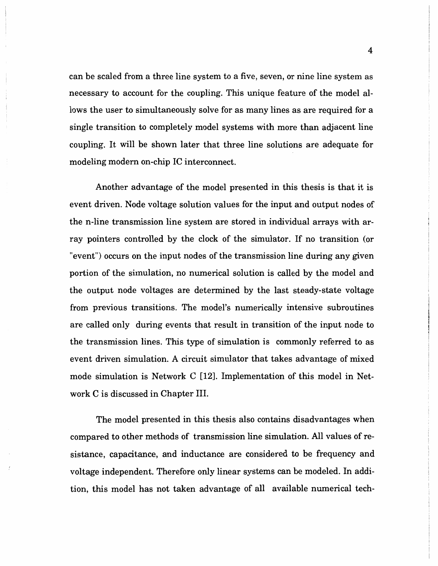can be scaled from a three line system to a five, seven, or nine line system as necessary to account for the coupling. This unique feature of the model allows the user to simultaneously solve for as many lines as are required for a single transition to completely model systems with more than adjacent line coupling. It will be shown later that three line solutions are adequate for modeling modern on-chip IC interconnect.

Another advantage of the model presented in this thesis is that it is event driven. Node voltage solution values for the input and output nodes of the n-line transmission line system are stored in individual arrays with array pointers controlled by the clock of the simulator. If no transition (or "event") occurs on the input nodes of the transmission line during any given portion of the simulation, no numerical solution is called by the model and the output node voltages are determined by the last steady-state voltage from previous transitions. The model's numerically intensive subroutines are called only during events that result in transition of the input node to the transmission lines. This type of simulation is commonly referred to as event driven simulation. A circuit simulator that takes advantage of mixed mode simulation is Network C [12]. Implementation of this model in Network C is discussed in Chapter III.

The model presented in this thesis also contains disadvantages when compared to other methods of transmission line simulation. All values of resistance, capacitance, and inductance are considered to be frequency and voltage independent. Therefore only linear systems can be modeled. In addition, this model has not taken advantage of all available numerical tech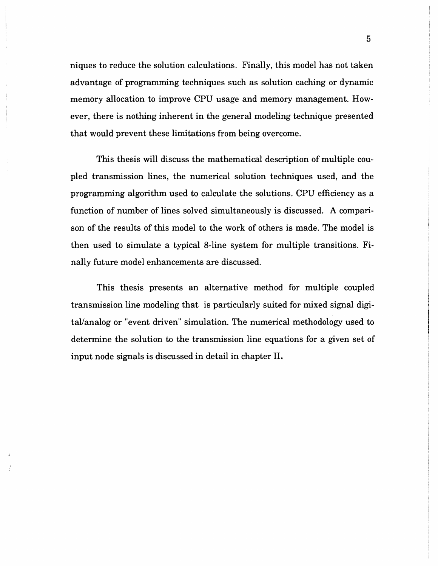niques to reduce the solution calculations. Finally, this model has not taken advantage of programming techniques such as solution caching or dynamic memory allocation to improve CPU usage and memory management. However, there is nothing inherent in the general modeling technique presented that would prevent these limitations from being overcome.

This thesis will discuss the mathematical description of multiple coupled transmission lines, the numerical solution techniques used, and the programming algorithm used to calculate the solutions. CPU efficiency as a function of number of lines solved simultaneously is discussed. A comparison of the results of this model to the work of others is made. The model is then used to simulate a typical 8-line system for multiple transitions. Finally future model enhancements are discussed.

This thesis presents an alternative method for multiple coupled transmission line modeling that is particularly suited for mixed signal digital/analog or "event driven" simulation. The numerical methodology used to determine the solution to the transmission line equations for a given set of input node signals is discussed in detail in chapter II.

5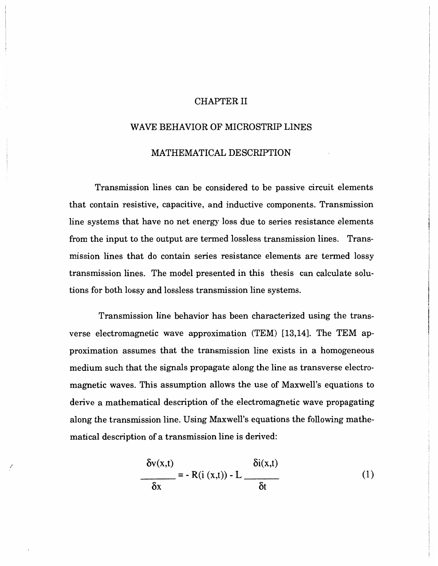#### CHAPTER II

# WAVE BEHAVIOR OF MICROSTRIP LINES

#### MATHEMATICAL DESCRIPTION

Transmission lines can be considered to be passive circuit elements that contain resistive, capacitive, and inductive components. Transmission line systems that have no net energy loss due to series resistance elements from the input to the output are termed lossless transmission lines. Transmission lines that do contain series resistance elements are termed lossy transmission lines. The model presented in this thesis can calculate solutions for both lossy and lossless transmission line systems.

Transmission line behavior has been characterized using the transverse electromagnetic wave approximation (TEM) [13, 14]. The TEM approximation assumes that the transmission line exists in a homogeneous medium such that the signals propagate along the line as transverse electromagnetic waves. This assumption allows the use of Maxwell's equations to derive a mathematical description of the electromagnetic wave propagating along the transmission line. Using Maxwell's equations the following mathematical description of a transmission line is derived:

$$
\frac{\delta v(x,t)}{\delta x} = -R(i(x,t)) - L \frac{\delta i(x,t)}{\delta t}
$$
 (1)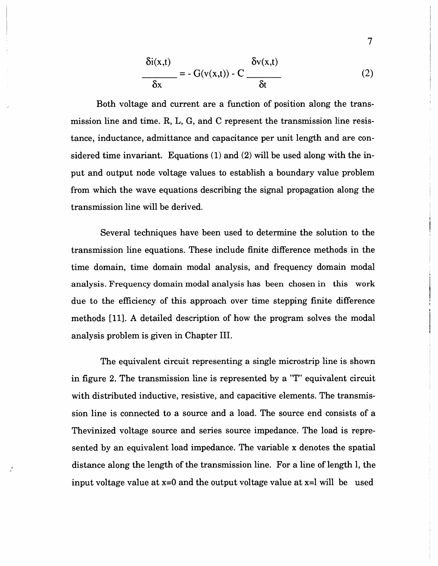$$
\frac{\delta i(x,t)}{\delta x} = -G(v(x,t)) - C \frac{\delta v(x,t)}{\delta t}
$$
 (2)

Both voltage and current are a function of position along the transmission line and time. R, L, G, and C represent the transmission line resistance, inductance, admittance and capacitance per unit length and are considered time invariant. Equations (1) and (2) will be used along with the input and output node voltage values to establish a boundary value problem from which the wave equations describing the signal propagation along the transmission line will be derived.

Several techniques have been used to determine the solution to the transmission line equations. These include finite difference methods in the time domain, time domain modal analysis, and frequency domain modal analysis. Frequency domain modal analysis has been chosen in this work due to the efficiency of this approach over time stepping finite difference methods [11]. A detailed description of how the program solves the modal analysis problem is given in Chapter III.

The equivalent circuit representing a single microstrip line is shown in figure 2. The transmission line is represented by a "T" equivalent circuit with distributed inductive, resistive, and capacitive elements. The transmission line is connected to a source and a load. The source end consists of a Thevinized voltage source and series source impedance. The load is represented by an equivalent load impedance. The variable x denotes the spatial distance along the length of the transmission line. For a line of length 1, the input voltage value at  $x=0$  and the output voltage value at  $x=1$  will be used

7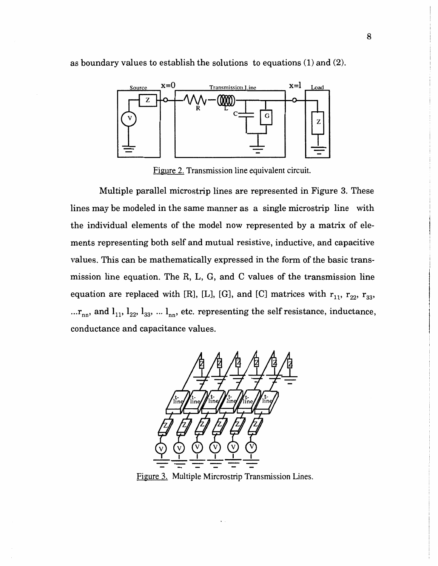

as boundary values to establish the solutions to equations (1) and (2).

Figure 2. Transmission line equivalent circuit.

Multiple parallel microstrip lines are represented in Figure 3. These lines may be modeled in the same manner as a single microstrip line with the individual elements of the model now represented by a matrix of elements representing both self and mutual resistive, inductive, and capacitive values. This can be mathematically expressed in the form of the basic transmission line equation. The R, L, G, and C values of the transmission line equation are replaced with [R], [L], [G], and [C] matrices with  $r_{11}$ ,  $r_{22}$ ,  $r_{33}$ , ... $r_{nn}$ , and  $l_{11}$ ,  $l_{22}$ ,  $l_{33}$ , ...  $l_{nn}$ , etc. representing the self resistance, inductance, conductance and capacitance values.



Figure 3. Multiple Mircrostrip Transmission Lines.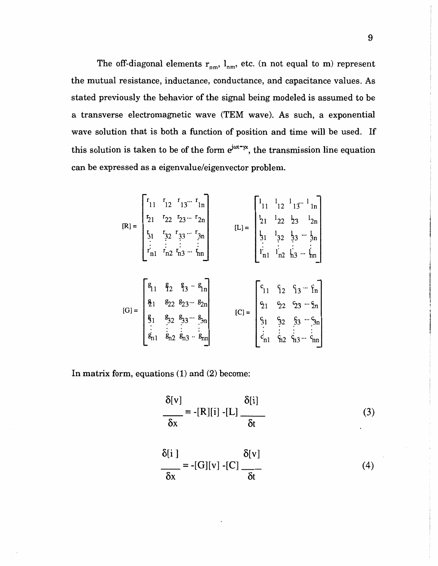The off-diagonal elements  $r_{nm}$ ,  $l_{nm}$ , etc. (n not equal to m) represent the mutual resistance, inductance, conductance, and capacitance values. As stated previously the behavior of the signal being modeled is assumed to be a transverse electromagnetic wave (TEM wave). As such, a exponential wave solution that is both a function of position and time will be used. If this solution is taken to be of the form  $e^{j\omega t - \gamma x}$ , the transmission line equation can be expressed as a eigenvalue/eigenvector problem.

$$
[\mathbf{R}] = \begin{bmatrix} r_{11} & r_{12} & r_{13} \cdots & r_{1n} \\ r_{21} & r_{22} & r_{23} \cdots & r_{2n} \\ r_{31} & r_{32} & r_{33} \cdots & r_{3n} \\ \vdots & \vdots & \vdots & \vdots \\ r_{n1} & r_{n2} & r_{n3} \cdots & r_{nn} \end{bmatrix} \qquad [\mathbf{L}] = \begin{bmatrix} l_{11} & l_{12} & l_{13} \cdots & l_{1n} \\ l_{21} & l_{22} & l_{23} & l_{2n} \\ l_{31} & l_{32} & l_{33} \cdots & l_{3n} \\ \vdots & \vdots & \vdots & \vdots \\ l_{n1} & l_{n2} & l_{n3} \cdots & l_{nn} \end{bmatrix}
$$

$$
[\mathbf{G}] = \begin{bmatrix} \mathbf{g}_{11} & \mathbf{g}_{21} & \mathbf{g}_{22} & \mathbf{g}_{23} \cdots & \mathbf{g}_{2n} \\ \mathbf{g}_{11} & \mathbf{g}_{22} & \mathbf{g}_{23} \cdots & \mathbf{g}_{2n} \\ \mathbf{g}_{11} & \mathbf{g}_{12} & \mathbf{g}_{13} \cdots & \mathbf{g}_{2n} \\ \vdots & \vdots & \vdots & \vdots \\ \mathbf{g}_{n1} & \mathbf{g}_{n2} & \mathbf{g}_{n3} \cdots & \mathbf{g}_{n1} \\ \vdots & \vdots & \vdots & \vdots \\ \mathbf{g}_{n1} & \mathbf{g}_{n2} & \mathbf{g}_{n3} \cdots & \mathbf{g}_{n1} \\ \vdots & \vdots & \vdots & \vdots \\ \mathbf{g}_{n1} & \mathbf{g}_{n2} & \mathbf{g}_{n3} \cdots & \mathbf{g}_{n1} \\ \vdots & \vdots & \vdots & \vdots \\ \mathbf{g}_{n1} & \mathbf{g}_{n2} & \mathbf{g}_{n3} \cdots & \mathbf{g}_{n1} \\ \end{bmatrix}
$$

In matrix form, equations (1) and (2) become:

$$
\frac{\delta[v]}{\delta x} = -[R][i] - [L] \frac{\delta[i]}{\delta t}
$$
 (3)

$$
\frac{\delta[i]}{\delta x} = -[G][v] - [C] \frac{\delta[v]}{\delta t}
$$
 (4)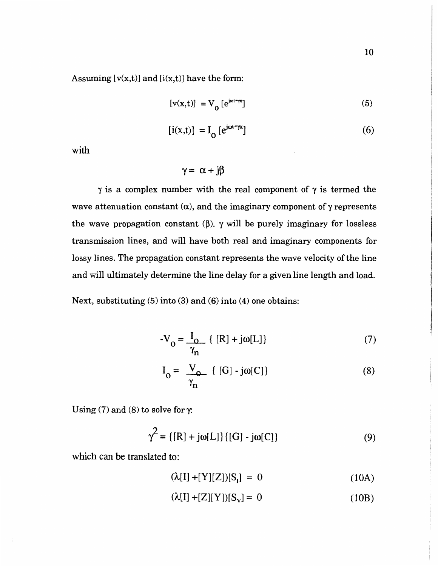Assuming  $[v(x,t)]$  and  $[i(x,t)]$  have the form:

$$
[v(x,t)] = V_0 [e^{j\omega t - \gamma x}]
$$
 (5)

$$
[i(x,t)] = I_0 [e^{j\omega t - \gamma x}]
$$
 (6)

with

 $\gamma = \alpha + j\beta$ 

 $\gamma$  is a complex number with the real component of  $\gamma$  is termed the wave attenuation constant  $(\alpha)$ , and the imaginary component of  $\gamma$  represents the wave propagation constant  $(\beta)$ .  $\gamma$  will be purely imaginary for lossless transmission lines, and will have both real and imaginary components for lossy lines. The propagation constant represents the wave velocity of the line and will ultimately determine the line delay for a given line length and load.

Next, substituting (5) into (3) and (6) into (4) one obtains:

$$
-V_0 = \frac{I_0}{\gamma_n} \{ [R] + j\omega[L] \}
$$
 (7)

$$
I_0 = \frac{V_0}{\gamma_n} \{ [G] \cdot j\omega[C] \}
$$
 (8)

Using (7) and (8) to solve for  $\gamma$ .

$$
\gamma^2 = \{ [R] + j\omega[L] \} \{ [G] - j\omega[C] \}
$$
 (9)

which can be translated to:

$$
(\lambda[I] + [Y][Z])[S_1] = 0 \tag{10A}
$$

$$
(\lambda[I] + [Z][Y])[S_{V}] = 0 \tag{10B}
$$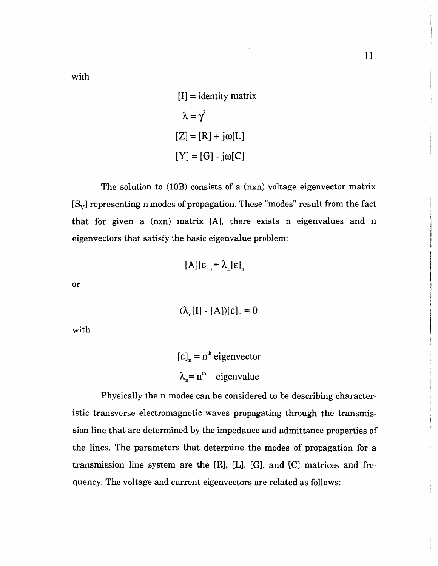with

 $[I]$  = identity matrix  $\lambda = \gamma^2$  $[Z]=[R]+{\mathsf{j}}\omega[L]$  $[Y] = [G] - j\omega[C]$ 

The solution to (10B) consists of a (nxn) voltage eigenvector matrix  $[S_{\rm v}]$  representing n modes of propagation. These "modes" result from the fact that for given a (nxn) matrix [A], there exists n eigenvalues and n eigenvectors that satisfy the basic eigenvalue problem:

$$
[\mathbf{A}][\mathbf{\varepsilon}]_{n} = \lambda_{n}[\mathbf{\varepsilon}]_{n}
$$

or

 $(\lambda_n[I] - [A])[\epsilon]_n = 0$ 

with

 $[\epsilon]_n = n^{\text{th}}$  eigenvector  $\lambda_n = n^{\text{th}}$  eigenvalue

Physically the n modes can be considered to be describing characteristic transverse electromagnetic waves propagating through the transmission line that are determined by the impedance and admittance properties of the lines. The parameters that determine the modes of propagation for a transmission line system are the [R], [L], [G], and [C] matrices and frequency. The voltage and current eigenvectors are related as follows: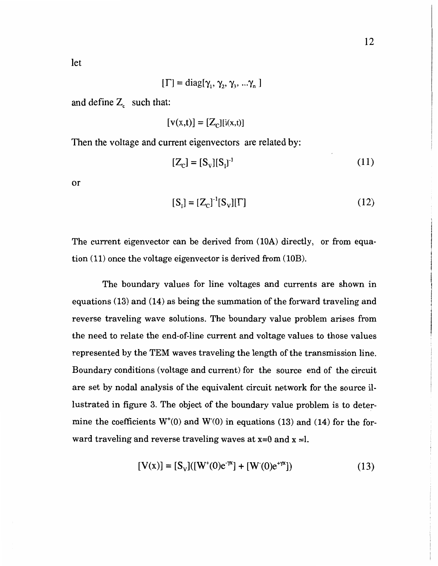let

$$
[\Gamma] = \text{diag}[\gamma_1, \gamma_2, \gamma_3, \ldots \gamma_n]
$$

and define  $Z_c$  such that:

$$
[v(x,t)] = [Z_{\text{c}}][i(x,t)]
$$

Then the voltage and current eigenvectors are related by:

$$
[Z_{\rm C}] = [S_{\rm V}][S_{\rm I}]^1 \tag{11}
$$

or

$$
[S_1] = [Z_C]^{-1} [S_V] [\Gamma]
$$
 (12)

The current eigenvector can be derived from  $(10A)$  directly, or from equation  $(11)$  once the voltage eigenvector is derived from  $(10B)$ .

The boundary values for line voltages and currents are shown in equations (13) and (14) as being the summation of the forward traveling and reverse traveling wave solutions. The boundary value problem arises from the need to relate the end-of-line current and voltage values to those values represented by the TEM waves traveling the length of the transmission line. Boundary conditions (voltage and current) for the source end of the circuit are set by nodal analysis of the equivalent circuit network for the source illustrated in figure 3. The object of the boundary value problem is to determine the coefficients  $W^*(0)$  and  $W(0)$  in equations (13) and (14) for the forward traveling and reverse traveling waves at  $x=0$  and  $x=1$ .

$$
[V(x)] = [S_v]([W^*(0)e^{-\gamma x}] + [W(0)e^{+\gamma x}])
$$
\n(13)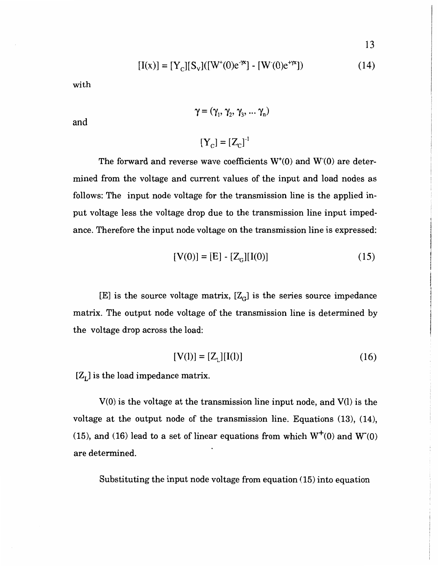$$
[I(x)] = [Y_C][S_V]([W^*(0)e^{-\gamma x}] - [W(0)e^{+\gamma x}])
$$
\n(14)

with

$$
\gamma = (\gamma_1, \gamma_2, \gamma_3, \dots \gamma_n)
$$

and

$$
[\mathbf{Y}_{\mathbf{C}}] = [\mathbf{Z}_{\mathbf{C}}]^{-1}
$$

The forward and reverse wave coefficients  $W^*(0)$  and  $W(0)$  are determined from the voltage and current values of the input and load nodes as follows: The input node voltage for the transmission line is the applied input voltage less the voltage drop due to the transmission line input impedance. Therefore the input node voltage on the transmission line is expressed:

$$
[V(0)] = [E] - [ZG][I(0)] \tag{15}
$$

[E] is the source voltage matrix,  $[Z_G]$  is the series source impedance matrix. The output node voltage of the transmission line is determined by the voltage drop across the load:

$$
[V(1)] = [Z_1][I(1)] \tag{16}
$$

 $[Z_L]$  is the load impedance matrix.

V(O) is the voltage at the transmission line input node, and V(l) is the voltage at the output node of the transmission line. Equations (13), (14), (15), and (16) lead to a set of linear equations from which  $W^+(0)$  and  $W(0)$ are determined.

Substituting the input node voltage from equation (15) into equation

13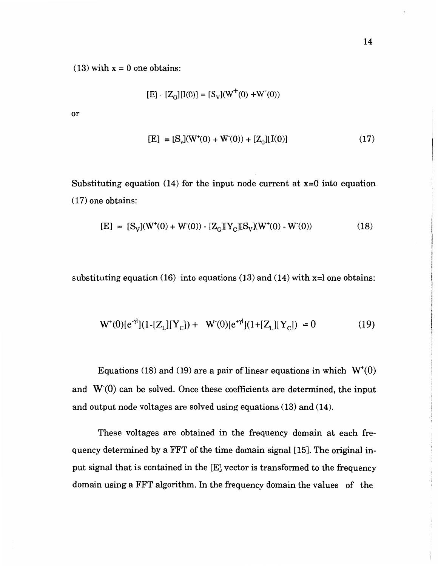$(13)$  with  $x = 0$  one obtains:

$$
[E] - [Z_G][I(0)] = [S_V](W^+(0) + W^-(0))
$$

or

$$
[E] = [S_y](W^*(0) + W(0)) + [Z_G][I(0)] \tag{17}
$$

Substituting equation  $(14)$  for the input node current at  $x=0$  into equation ( 17) one obtains:

$$
[E] = [S_V](W^+(0) + W^-(0)) - [Z_G][Y_C][S_V](W^+(0) - W^-(0))
$$
\n(18)

substituting equation (16) into equations (13) and (14) with  $x=1$  one obtains:

$$
W^+(0)[e^{-\gamma t}](1-[Z_L][Y_C]) + W'(0)[e^{+\gamma t}](1+[Z_L][Y_C]) = 0 \tag{19}
$$

Equations (18) and (19) are a pair of linear equations in which  $W^*(0)$ and  $W(0)$  can be solved. Once these coefficients are determined, the input and output node voltages are solved using equations (13) and (14).

These voltages are obtained in the frequency domain at each frequency determined by a FFT of the time domain signal [15]. The original input signal that is contained in the [E] vector is transformed to the frequency domain using a FFT algorithm. In the frequency domain the values of the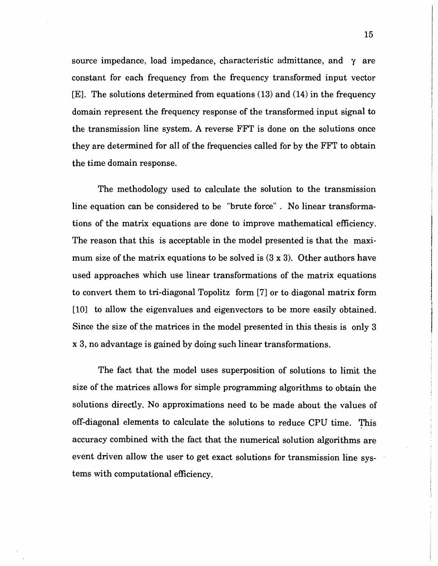source impedance, load impedance, characteristic admittance, and  $\gamma$  are constant for each frequency from the frequency transformed input vector [E]. The solutions determined from equations (13) and (14) in the frequency domain represent the frequency response of the transformed input signal to the transmission line system. A reverse FFT is done on the solutions once they are determined for all of the frequencies called for by the FFT to obtain the time domain response.

The methodology used to calculate the solution to the transmission line equation can be considered to be "brute force" . No linear transformations of the matrix equations are done to improve mathematical efficiency. The reason that this is acceptable in the model presented is that the maximum size of the matrix equations to be solved is (3 x 3). Other authors have used approaches which use linear transformations of the matrix equations to convert them to tri-diagonal Topolitz form [7] or to diagonal matrix form [10] to allow the eigenvalues and eigenvectors to be more easily obtained. Since the size of the matrices in the model presented in this thesis is only 3 x 3, no advantage is gained by doing such linear transformations.

The fact that the model uses superposition of solutions to limit the size of the matrices allows for simple programming algorithms to obtain the solutions directly. No approximations need to be made about the values of off-diagonal elements to calculate the solutions to reduce CPU time. 'fhis accuracy combined with the fact that the numerical solution algorithms are event driven allow the user to get exact solutions for transmission line systems with computational efficiency.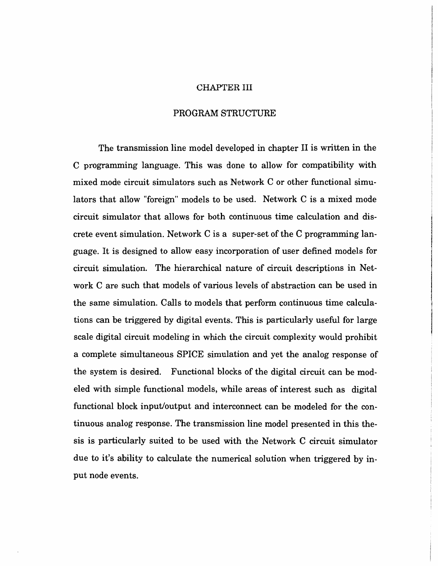#### CHAPTER III

#### PROGRAM STRUCTURE

The transmission line model developed in chapter II is written in the C programming language. This was done to allow for compatibility with mixed mode circuit simulators such as Network C or other functional simulators that allow "foreign" models to be used. Network C is a mixed mode circuit simulator that allows for both continuous time calculation and discrete event simulation. Network Cis a super-set of the C programming language. It is designed to allow easy incorporation of user defined models for circuit simulation. The hierarchical nature of circuit descriptions in Network C are such that models of various levels of abstraction can be used in the same simulation. Calls to models that perform continuous time calculations can be triggered by digital events. This is particularly useful for large scale digital circuit modeling in which the circuit complexity would prohibit a complete simultaneous SPICE simulation and yet the analog response of the system is desired. Functional blocks of the digital circuit can be modeled with simple functional models, while areas of interest such as digital functional block input/output and interconnect can be modeled for the continuous analog response. The transmission line model presented in this thesis is particularly suited to be used with the Network C circuit simulator due to it's ability to calculate the numerical solution when triggered by input node events.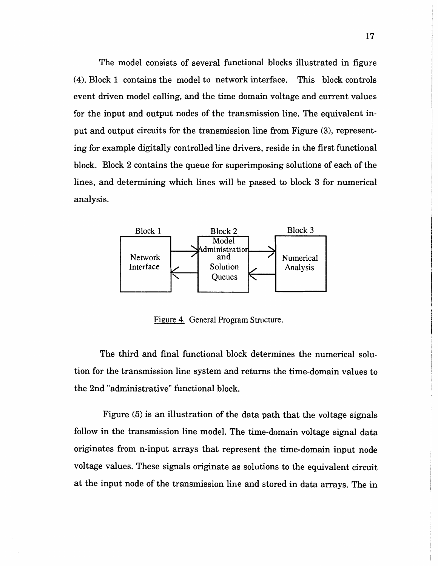The model consists of several functional blocks illustrated in figure (4). Block 1 contains the model to network interface. This block controls event driven model calling, and the time domain voltage and current values for the input and output nodes of the transmission line. The equivalent input and output circuits for the transmission line from Figure (3), representing for example digitally controlled line drivers, reside in the first functional block. Block 2 contains the queue for superimposing solutions of each of the lines, and determining which lines will be passed to block 3 for numerical analysis.



Figure 4. General Program Structure.

The third and final functional block determines the numerical solution for the transmission line system and returns the time-domain values to the 2nd "administrative" functional block.

Figure (5) is an illustration of the data path that the voltage signals follow in the transmission line model. The time-domain voltage signal data originates from n-input arrays that represent the time-domain input node voltage values. These signals originate as solutions to the equivalent circuit at the input node of the transmission line and stored in data arrays. The in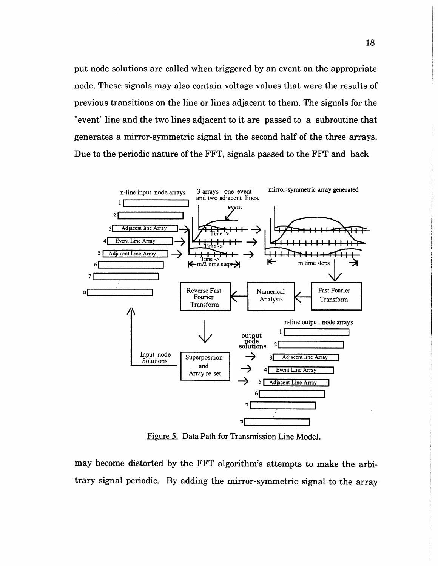put node solutions are called when triggered by an event on the appropriate node. These signals may also contain voltage values that were the results of previous transitions on the line or lines adjacent to them. The signals for the "event" line and the two lines adjacent to it are passed to a subroutine that generates a mirror-symmetric signal in the second half of the three arrays. Due to the periodic nature of the FFT, signals passed to the FFT and back



Figure 5. Data Path for Transmission Line Model.

may become distorted by the FFT algorithm's attempts to make the arbitrary signal periodic. By adding the mirror-symmetric signal to the array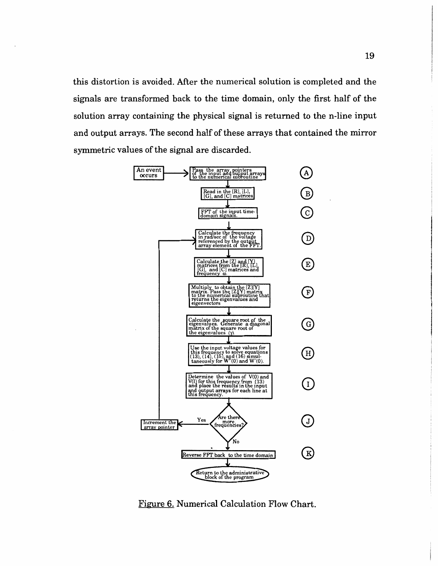this distortion is avoided. After the numerical solution is completed and the signals are transformed back to the time domain, only the first half of the solution array containing the physical signal is returned to the n-line input and output arrays. The second half of these arrays that contained the mirror symmetric values of the signal are discarded.



**Figure 6. Numerical Calculation Flow Chart.**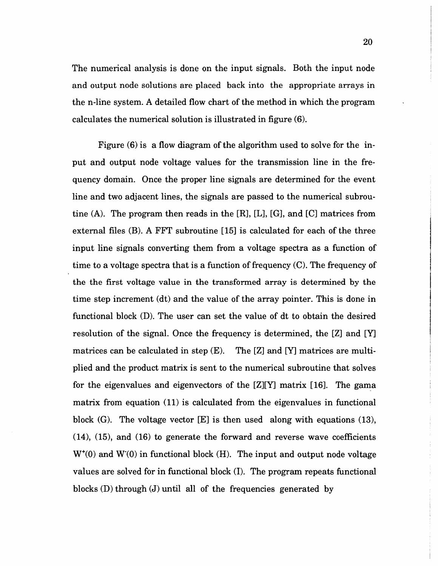The numerical analysis is done on the input signals. Both the input node and output node solutions are placed back into the appropriate arrays in the n-line system. A detailed flow chart of the method in which the program calculates the numerical solution is illustrated in figure (6).

Figure  $(6)$  is a flow diagram of the algorithm used to solve for the input and output node voltage values for the transmission line in the frequency domain. Once the proper line signals are determined for the event line and two adjacent lines, the signals are passed to the numerical subroutine  $(A)$ . The program then reads in the  $[R]$ ,  $[L]$ ,  $[G]$ , and  $[C]$  matrices from external files (B). A FFT subroutine [15] is calculated for each of the three input line signals converting them from a voltage spectra as a function of time to a voltage spectra that is a function of frequency (C). The frequency of the the first voltage value in the transformed array is determined by the time step increment (dt) and the value of the array pointer. This is done in functional block (D). The user can set the value of dt to obtain the desired resolution of the signal. Once the frequency is determined, the [Z] and [Y] matrices can be calculated in step  $(E)$ . The  $[Z]$  and  $[Y]$  matrices are multiplied and the product matrix is sent to the numerical subroutine that solves for the eigenvalues and eigenvectors of the  $[Z][Y]$  matrix [16]. The gama matrix from equation (11) is calculated from the eigenvalues in functional block  $(G)$ . The voltage vector  $[E]$  is then used along with equations  $(13)$ ,  $(14)$ ,  $(15)$ , and  $(16)$  to generate the forward and reverse wave coefficients  $W<sup>+</sup>(0)$  and  $W(0)$  in functional block (H). The input and output node voltage values are solved for in functional block (I). The program repeats functional blocks  $(D)$  through  $(J)$  until all of the frequencies generated by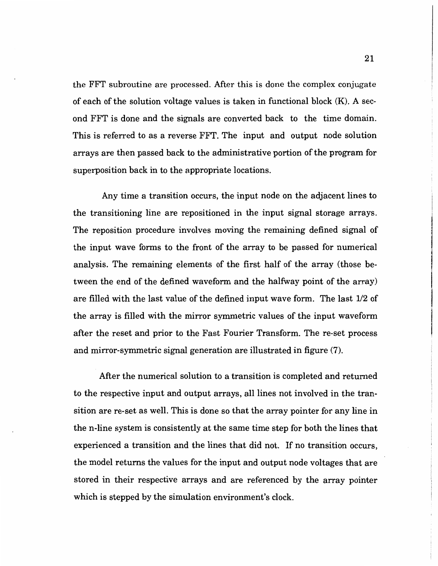the FFT subroutine are processed. *Mter* this is done the complex conjugate of each of the solution voltage values is taken in functional block (K). A second FFT is done and the signals are converted back to the time domain. This is referred to as a reverse FFT. The input and output node solution arrays are then passed back to the administrative portion of the program for superposition back in to the appropriate locations.

Any time a transition occurs, the input node on the adjacent lines to the transitioning line are repositioned in the input signal storage arrays. The reposition procedure involves moving the remaining defined signal of the input wave forms to the front of the array to be passed for numerical analysis. The remaining elements of the first half of the array (those between the end of the defined waveform and the halfway point of the array) are filled with the last value of the defined input wave form. The last 1/2 of the array is filled with the mirror symmetric values of the input waveform after the reset and prior to the Fast Fourier Transform. The re-set process and mirror-symmetric signal generation are illustrated in figure (7).

After the numerical solution to a transition is completed and returned to the respective input and output arrays, all lines not involved in the transition are re-set as well. This is done so that the array pointer for any line in the n-line system is consistently at the same time step for both the lines that experienced a transition and the lines that did not. If no transition occurs, the model returns the values for the input and output node voltages that are stored in their respective arrays and are referenced by the array pointer which is stepped by the simulation environment's clock.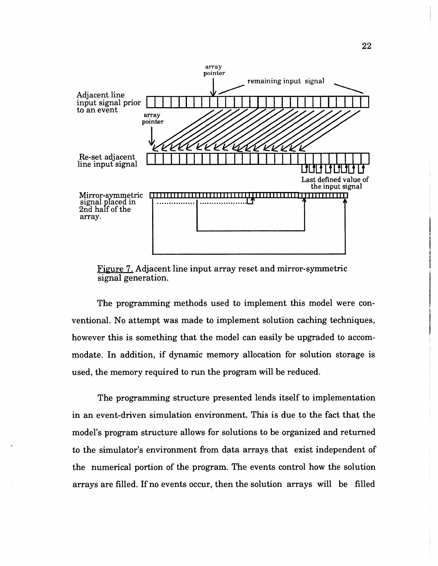

Figure 7. Adjacent line input array reset and mirror-symmetric signal generation.

The programming methods used to implement this model were conventional. No attempt was made to implement solution caching techniques, however this is something that the model can easily be upgraded to accommodate. In addition, if dynamic memory allocation for solution storage is used, the memory required to run the program will be reduced.

The programming structure presented lends itself to implementation in an event-driven simulation environment. This is due to the fact that the model's program structure allows for solutions to be organized and returned to the simulator's environment from data arrays that exist independent of the numerical portion of the program. The events control how the solution arrays are filled. If no events occur, then the solution arrays will be filled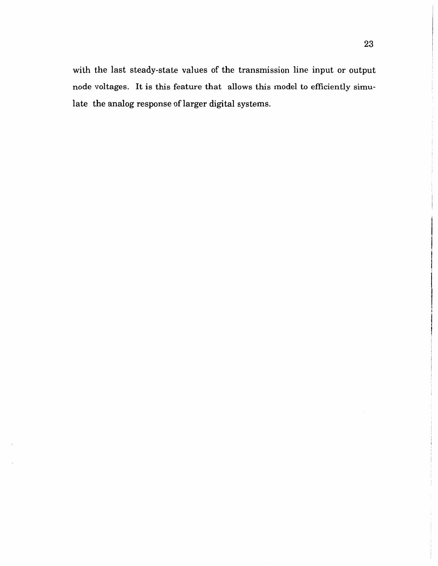with the last steady-state values of the transmission line input or output node voltages. It is this feature that allows this model to efficiently simulate the analog response of larger digital systems.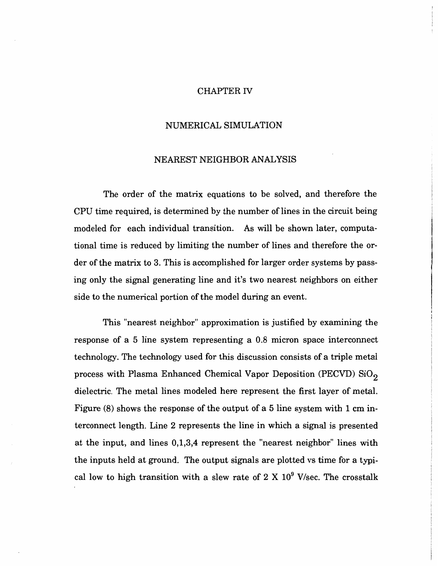#### CHAPTER IV

#### NUMERICAL SIMULATION

#### NEAREST NEIGHBOR ANALYSIS

The order of the matrix equations to be solved, and therefore the CPU time required, is determined by the number of lines in the circuit being modeled for each individual transition. As will be shown later, computational time is reduced by limiting the number of lines and therefore the order of the matrix to 3. This is accomplished for larger order systems by passing only the signal generating line and it's two nearest neighbors on either side to the numerical portion of the model during an event.

This "nearest neighbor" approximation is justified by examining the response of a 5 line system representing a 0.8 micron space interconnect technology. The technology used for this discussion consists of a triple metal process with Plasma Enhanced Chemical Vapor Deposition (PECVD) SiO<sub>2</sub> dielectric. The metal lines modeled here represent the first layer of metal. Figure (8) shows the response of the output of a 5 line system with 1 em interconnect length. Line 2 represents the line in which a signal is presented at the input, and lines 0,1,3,4 represent the "nearest neighbor" lines with the inputs held at ground. The output signals are plotted vs time for a typical low to high transition with a slew rate of  $2 \text{ X } 10^9$  V/sec. The crosstalk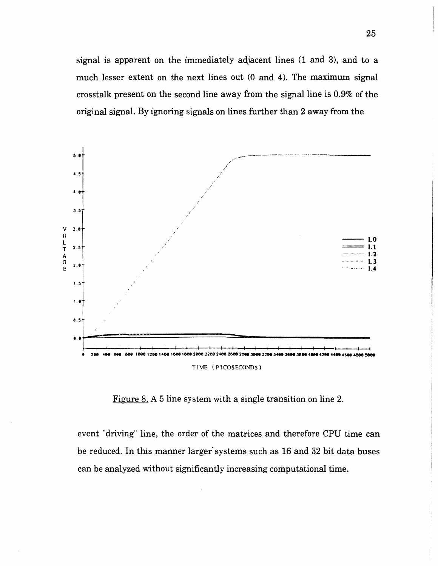signal is apparent on the immediately adjacent lines (1 and 3), and to a much lesser extent on the next lines out (0 and 4). The maximum signal crosstalk present on the second line away from the signal line is 0.9% of the original signal. By ignoring signals on lines further than 2 away from the



<u>Figure 8.</u> A 5 line system with a single transition on line 2.

event "driving" line, the order of the matrices and therefore CPU time can be reduced. In this manner larger systems such as 16 and 32 bit data buses can be analyzed without significantly increasing computational time.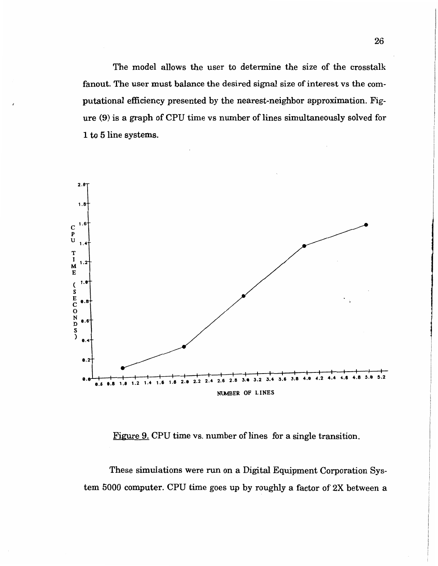The model allows the user to determine the size of the crosstalk fanout. The user must balance the desired signal size of interest vs the computational efficiency presented by the nearest-neighbor approximation. Figure (9) is a graph of CPU time vs number of lines simultaneously solved for 1 to 5 line systems.



Figure 9. CPU time vs. number of lines for a single transition.

These simulations were run on a Digital Equipment Corporation System 5000 computer. CPU time goes up by roughly a factor of 2X between a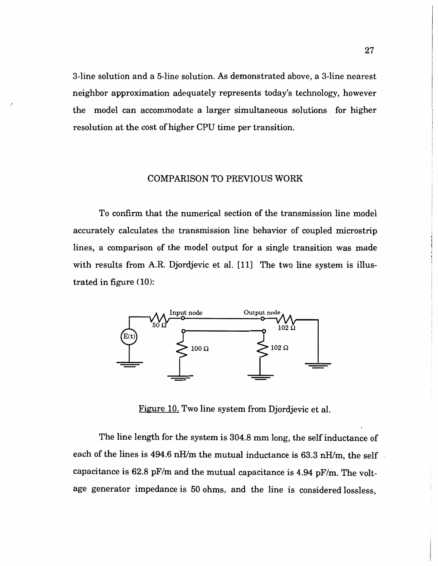3-line solution and a 5-line solution. As demonstrated above, a 3-line nearest neighbor approximation adequately represents today's technology, however the model can accommodate a larger simultaneous solutions for higher resolution at the cost of higher CPU time per transition.

#### COMPARISON TO PREVIOUS WORK

To confirm that the numerical section of the transmission line model accurately calculates the transmission line behavior of coupled microstrip lines, a comparison of the model output for a single transition was made with results from A.R. Djordjevic et al. [11] The two line system is illustrated in figure (10):



Figure 10. Two line system from Djordjevic et al.

The line length for the system is 304.8 mm long, the self inductance of each of the lines is 494.6 nH/m the mutual inductance is 63.3 nH/m, the self capacitance is 62.8 pF/m and the mutual capacitance is 4.94 pF/m. The voltage generator impedance is 50 ohms, and the line is considered lossless,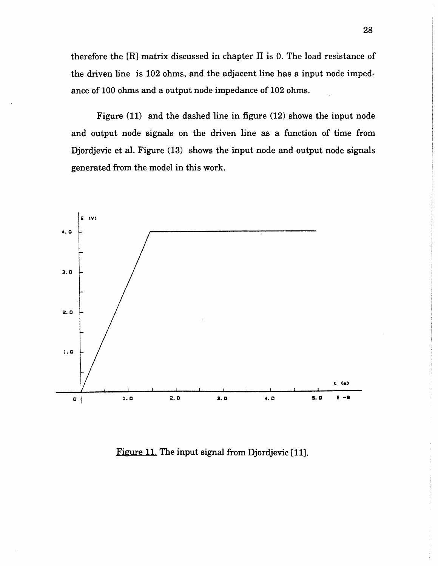therefore the [R] matrix discussed in chapter II is 0. The load resistance of the driven line is 102 ohms, and the adjacent line has a input node impedance of 100 ohms and a output node impedance of 102 ohms.

Figure (11) and the dashed line in figure (12) shows the input node and output node signals on the driven line as a function of time from Djordjevic et al. Figure  $(13)$  shows the input node and output node signals generated from the model in this work.



Figure 11. The input signal from Djordjevic [11].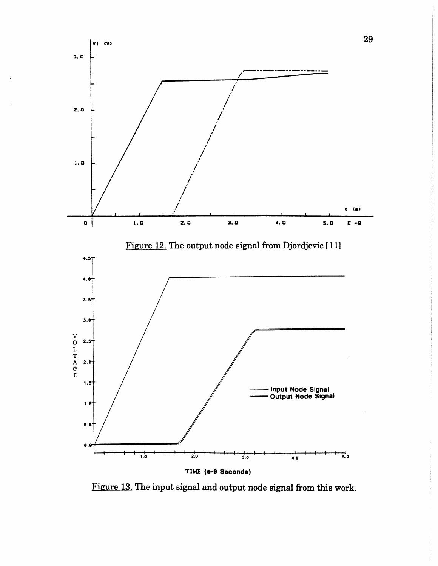

Figure 13. The input signal and output node signal from this work.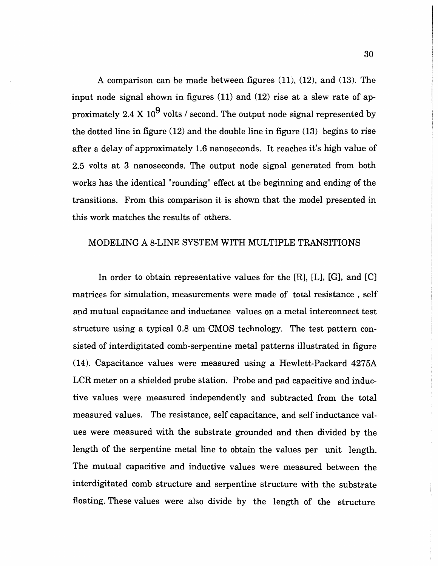A comparison can be made between figures (11), (12), and (13). The input node signal shown in figures (11) and (12) rise at a slew rate of approximately 2.4 X 10<sup>9</sup> volts / second. The output node signal represented by the dotted line in figure (12) and the double line in figure (13) begins to rise after a delay of approximately 1.6 nanoseconds. It reaches it's high value of 2.5 volts at 3 nanoseconds. The output node signal generated from both works has the identical "rounding" effect at the beginning and ending of the transitions. From this comparison it is shown that the model presented in this work matches the results of others.

#### MODELING A 8-LINE SYSTEM WITH MULTIPLE TRANSITIONS

In order to obtain representative values for the [R], [L], [G], and [C] matrices for simulation, measurements were made of total resistance , self and mutual capacitance and inductance values on a metal interconnect test structure using a typical 0.8 um CMOS technology. The test pattern consisted of interdigitated comb-serpentine metal patterns illustrated in figure (14). Capacitance values were measured using a Hewlett-Packard 4275A LCR meter on a shielded probe station. Probe and pad capacitive and inductive values were measured independently and subtracted from the total measured values. The resistance, self capacitance, and self inductance values were measured with the substrate grounded and then divided by the length of the serpentine metal line to obtain the values per unit length. The mutual capacitive and inductive values were measured between the interdigitated comb structure and serpentine structure with the substrate floating. These values were also divide by the length of the structure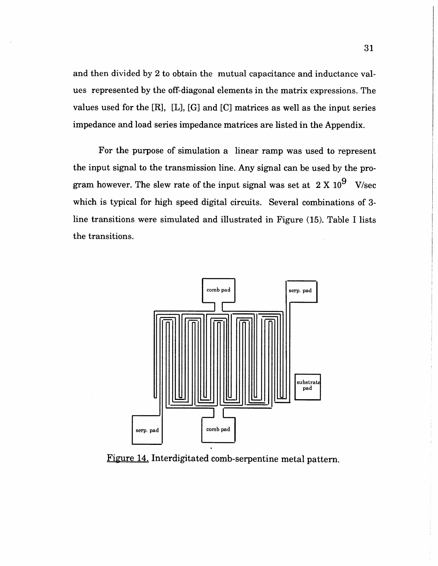and then divided by 2 to obtain the mutual capacitance and inductance values represented by the off-diagonal elements in the matrix expressions. The values used for the  $[R]$ ,  $[L]$ ,  $[G]$  and  $[C]$  matrices as well as the input series impedance and load series impedance matrices are listed in the Appendix.

For the purpose of simulation a linear ramp was used to represent the input signal to the transmission line. Any signal can be used by the program however. The slew rate of the input signal was set at  $2 \text{ X } 10^9$  V/sec which is typical for high speed digital circuits. Several combinations of 3line transitions were simulated and illustrated in Figure (15). Table I lists the transitions.



Figure 14. Interdigitated comb-serpentine metal pattern.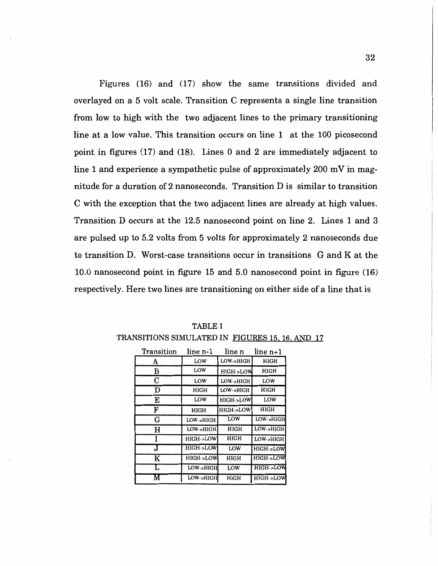Figures (16) and (17) show the same transitions divided and overlayed on a 5 volt scale. Transition C represents a single line transition from low to high with the two adjacent lines to the primary transitioning line at a low value. This transition occurs on line 1 at the 100 picosecond point in figures (17) and (18). Lines 0 and 2 are immediately adjacent to line 1 and experience a sympathetic pulse of approximately  $200 \text{ mV}$  in magnitude for a duration of 2 nanoseconds. Transition D is similar to transition C with the exception that the two adjacent lines are already at high values. Transition D occurs at the 12.5 nanosecond point on line 2. Lines 1 and 3 are pulsed up to 5.2 volts from 5 volts for approximately 2 nanoseconds due to transition D. Worst-case transitions occur in transitions G and Kat the 10.0 nanosecond point in figure 15 and 5.0 nanosecond point in figure (16) respectively. Here two lines are transitioning on either side of a line that is

| Transition | line n-1            | line n              | $line n+1$          |
|------------|---------------------|---------------------|---------------------|
| A          | LOW                 | LOW->HIGH           | HIGH                |
| в          | LOW                 | HIGH->LOW           | HIGH                |
| С          | LOW                 | LOW->HIGH           | LOW                 |
| D          | HIGH                | LOW->HIGH           | HIGH                |
| E          | LOW                 | HIGH->LOW           | LOW                 |
| F          | HIGH                | <b>HIGH-&gt;LOW</b> | HIGH                |
| G          | LOW->HIGH           | LOW                 | LOW->HIGH           |
| н          | LOW->HIGH           | HIGH                | LOW->HIGH           |
|            | <b>HIGH-&gt;LOW</b> | HIGH                | LOW->HIGH           |
| J          | HIGH->LOW           | LOW                 | HIGH->LOW           |
| K          | HIGH->LOW           | HIGH                | HIGH->LOW           |
|            | LOW->HIGH           | LOW                 | <b>HIGH-&gt;LOW</b> |
|            | LOW->HIGH           | <b>HIGH</b>         | HIGH->LOW           |

TABLE I TRANSITIONS SIMULATED IN FIGURES 15, 16. AND 17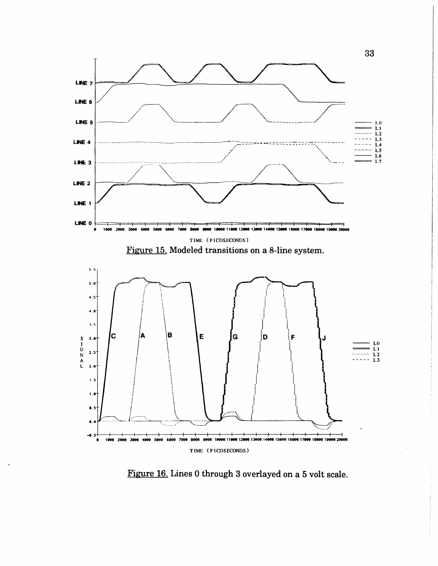

Figure 16. Lines 0 through 3 overlayed on a 5 volt scale.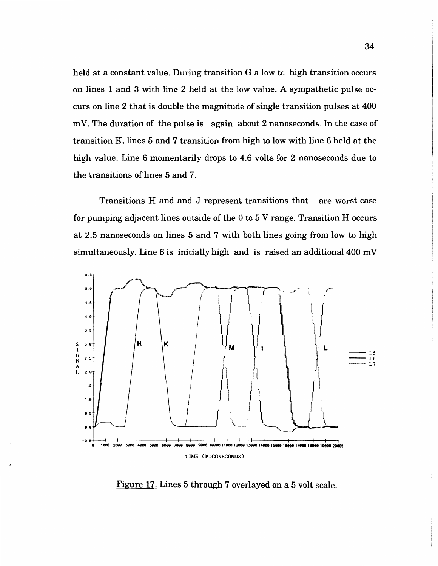held at a constant value. During transition G a low to high transition occurs on lines 1 and 3 with line 2 held at the low value. A sympathetic pulse occurs on line 2 that is double the magnitude of single transition pulses at 400 mV. The duration of the pulse is again about 2 nanoseconds. In the case of transition K, lines 5 and 7 transition from high to low with line 6 held at the high value. Line 6 momentarily drops to 4.6 volts for 2 nanoseconds due to the transitions of lines 5 and 7.

Transitions H and and J represent transitions that are worst-case for pumping adjacent lines outside of the  $0$  to  $5$  V range. Transition H occurs at 2.5 nanoseconds on lines 5 and 7 with both lines going from low to high simultaneously. Line  $6$  is initially high and is raised an additional  $400 \text{ mV}$ 



Figure 17. Lines 5 through 7 overlayed on a 5 volt scale.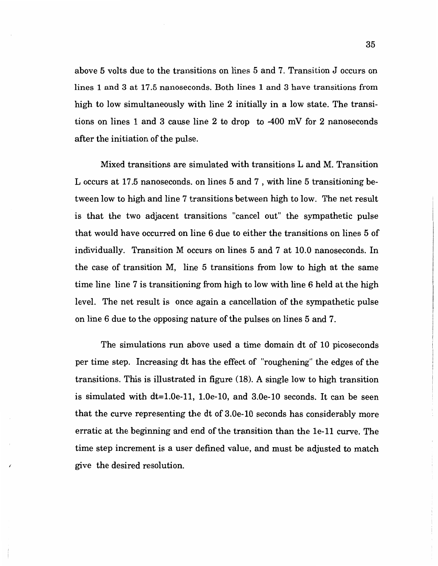above 5 volts due to the transitions on lines 5 and 7. Transition J occurs on lines 1 and 3 at 17.5 nanoseconds. Both lines 1 and 3 have transitions from high to low simultaneously with line 2 initially in a low state. The transitions on lines 1 and 3 cause line 2 to drop to -400 mV for 2 nanoseconds after the initiation of the pulse.

Mixed transitions are simulated with transitions L and M. Transition L occurs at 17.5 nanoseconds. on lines 5 and 7 , with line 5 transitioning between low to high and line 7 transitions between high to low. The net result is that the two adjacent transitions "cancel out" the sympathetic pulse that would have occurred on line 6 due to either the transitions on lines 5 of individually. Transition M occurs on lines 5 and 7 at 10.0 nanoseconds. In the case of transition M, line 5 transitions from low to high at the same time line line 7 is transitioning from high to low with line 6 held at the high level. The net result is once again a cancellation of the sympathetic pulse on line 6 due to the opposing nature of the pulses on lines 5 and 7.

The simulations run above used a time domain dt of 10 picoseconds per time step. Increasing dt has the effect of "roughening" the edges of the transitions. This is illustrated in figure (18). A single low to high transition is simulated with dt=1.0e-11, l.Oe-10, and 3.0e-10 seconds. It can be seen that the curve representing the dt of 3.0e-10 seconds has considerably more erratic at the beginning and end of the transition than the 1e-11 curve. The time step increment is a user defined value, and must be adjusted to match give the desired resolution.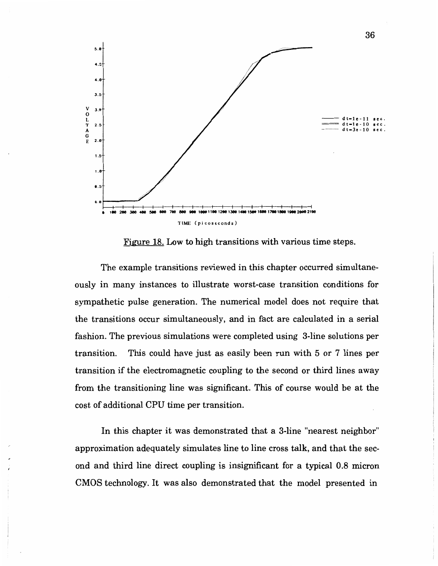

Figure 18. Low to high transitions with various time steps.

The example transitions reviewed in this chapter occurred simultaneously in many instances to illustrate worst-case transition conditions for sympathetic pulse generation. The numerical model does not require that the transitions occur simultaneously, and in fact are calculated in a serial fashion. The previous simulations were completed using 3-line solutions per transition. This could have just as easily been run with 5 or 7 lines per transition if the electromagnetic coupling to the second or third lines away from the transitioning line was significant. This of course would be at the cost of additional CPU time per transition.

In this chapter it was demonstrated that a 3-line "nearest neighbor" approximation adequately simulates line to line cross talk, and that the second and third line direct coupling is insignificant for a typical 0.8 micron CMOS technology. It was also demonstrated that the model presented in

36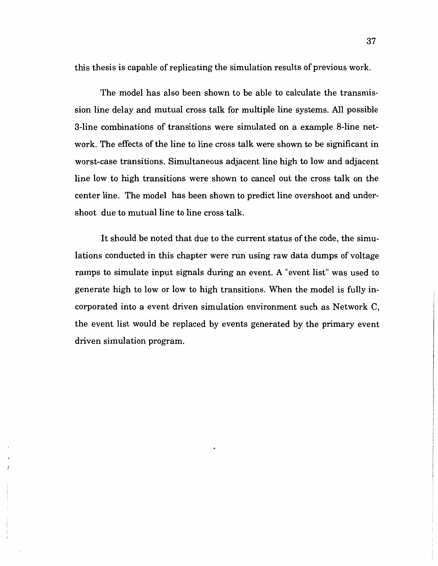this thesis is capable of replicating the simulation results of previous work.

The model has also been shown to be able to calculate the transmission line delay and mutual cross talk for multiple line systems. All possible 3-line combinations of transitions were simulated on a example 8-line network. The effects of the line to line cross talk were shown to be significant in worst-case transitions. Simultaneous adjacent line high to low and adjacent line low to high transitions were shown to cancel out the cross talk on the center line. The model has been shown to predict line overshoot and undershoot due to mutual line to line cross talk.

It should be noted that due to the current status of the code, the simulations conducted in this chapter were run using raw data dumps of voltage ramps to simulate input signals during an event. A "event list" was used to generate high to low or low to high transitions. When the model is fully incorporated into a event driven simulation environment such as Network C, the event list would be replaced by events generated by the primary event driven simulation program.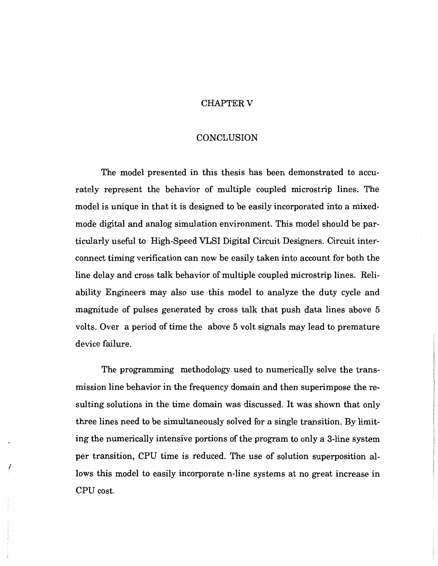#### CHAPTER V

#### CONCLUSION

The model presented in this thesis has been demonstrated to accurately represent the behavior of multiple coupled microstrip lines. The model is unique in that it is designed to be easily incorporated into a mixedmode digital and analog simulation environment. This model should be particularly useful to High-Speed VLSI Digital Circuit Designers. Circuit interconnect timing verification can now be easily taken into account for both the line delay and cross talk behavior of multiple coupled microstrip lines. Reliability Engineers may also use this model to analyze the duty cycle and magnitude of pulses generated by cross talk that push data lines above 5 volts. Over a period of time the above 5 volt signals may lead to premature device failure.

The programming methodology used to numerically solve the transmission line behavior in the frequency domain and then superimpose the resulting solutions in the time domain was discussed. It was shown that only three lines need to be simultaneously solved for a single transition. By limiting the numerically intensive portions of the program to only a 3-line system per transition, CPU time is reduced. The use of solution superposition allows this model to easily incorporate n-line systems at no great increase in CPU cost.

I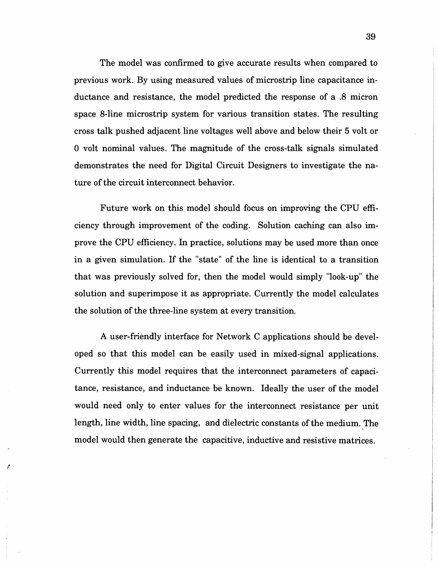The model was confirmed to give accurate results when compared to previous work. By using measured values of microstrip line capacitance inductance and resistance, the model predicted the response of a .8 micron space 8-line microstrip system for various transition states. The resulting cross talk pushed adjacent line voltages well above and below their 5 volt or 0 volt nominal values. The magnitude of the cross-talk signals simulated demonstrates the need for Digital Circuit Designers to investigate the nature of the circuit interconnect behavior.

Future work on this model should focus on improving the CPU efficiency through improvement of the coding. Solution caching can also improve the CPU efficiency. In practice, solutions may be used more than once in a given simulation. If the "state" of the line is identical to a transition that was previously solved for, then the model would simply "look-up" the solution and superimpose it as appropriate. Currently the model calculates the solution of the three-line system at every transition.

A user-friendly interface for Network C applications should be developed so that this model can be easily used in mixed-signal applications. Currently this model requires that the interconnect parameters of capacitance, resistance, and inductance be known. Ideally the user of the model would need only to enter values for the interconnect resistance per unit length, line width, line spacing, and dielectric constants of the medium. The model would then generate the capacitive, inductive and resistive matrices.

*r*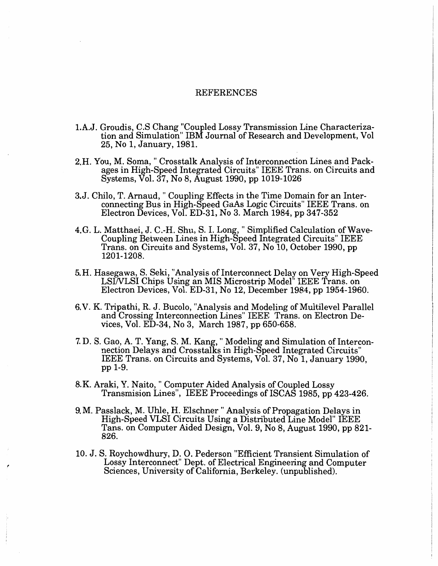#### REFERENCES

- l.A.J. Groudis, C.S Chang "Coupled Lossy Transmission Line Characterization and Simulation" IBM Journal of Research and Development, Vol 25, No 1, January, 1981.
- 2.H. You, M. Soma, " Crosstalk Analysis of Interconnection Lines and Packages in High-Speed Integrated Circuits" IEEE Trans. on Circuits and Systems, Vol. 37, No 8, August 1990, pp 1019-1026
- 3.J. Chilo, T. Arnaud," Coupling Effects in the Time Domain for an Interconnecting Bus in High-Speed GaAs Logic Circuits" IEEE Trans. on Electron Devices, Vol. ED-31, No 3. March 1984, pp 347-352
- 4.G. L. Matthaei, J. C.-H. Shu, S. I. Long, "Simplified Calculation of Wave-Coupling Between Lines in High-Speed Integrated Circuits" IEEE Trans. on Circuits and Systems, Vol. 37, No 10, October 1990, pp 1201-1208.
- 5. H. Hasegawa, S. Seki, "Analysis of Interconnect Delay on Very High-Speed LSINLSI Chips Using an MIS Microstrip Model" IEEE Trans. on Electron Devices, Vol. ED-31, No 12, December 1984, pp 1954-1960.
- 6.V. K. Tripathi, R. J. Bucolo, "Analysis and Modeling of Multilevel Parallel and Crossing Interconnection Lines" IEEE Trans. on Electron Devices, Vol. ED-34, No 3, March 1987, pp 650-658.
- 7. D. S. Gao, A. T. Yang, S.M. Kang, "Modeling and Simulation of Interconnection Delays and Crosstalks in High-Speed Integrated Circuits" IEEE Trans. on Circuits and Systems, Vol. 37, No 1, January 1990, pp 1-9.
- 8.K. Araki, Y. Naito," Computer Aided Analysis of Coupled Lossy Transmision Lines", IEEE Proceedings of ISCAS 1985, pp 423-426.
- 9. M. Passlack, M. Uhle, H. Elschner " Analysis of Propagation Delays in High-Speed VLSI Circuits Using a Distributed Line Model" IEEE Tans. on Computer Aided Design, Vol. 9, No 8, August 1990, pp 821- 826.
- 10. J. S. Roychowdhury, D. 0. Pederson "Efficient Transient Simulation of Lossy Interconnect" Dept. of Electrical Engineering and Computer Sciences, University of California, Berkeley. (unpublished).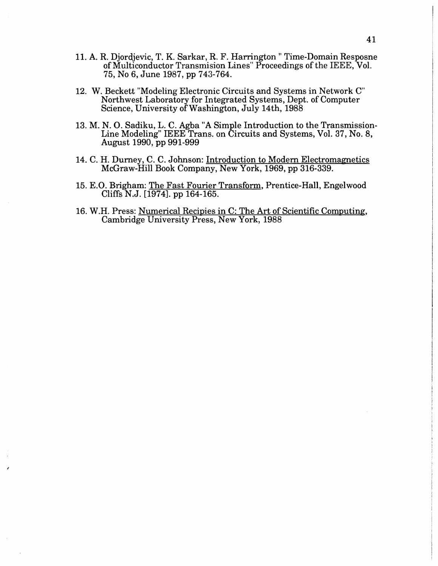- 11. A. R. Djordjevic, T. K. Sarkar, R. F. Harrington" Time-Domain Resposne of Multiconductor Transmision Lines" Proceedings of the IEEE, Vol. 75, No 6, June 1987, pp 743-764.
- 12. W. Beckett "Modeling Electronic Circuits and Systems in Network C" Northwest Laboratory for Integrated Systems, Dept. of Computer Science, University of Washington, July 14th, 1988
- 13. M. N. 0. Sadiku, L. C. Agba "A Simple Introduction to the Transmission-Line Modeling" IEEE Trans. on Circuits and Systems, Vol. 37, No. 8, August 1990, pp 991-999
- 14. C. H. Durney, C. C. Johnson: Introduction to Modern Electromagnetics McGraw-Hill Book Company, New York, 1969, pp 316-339.
- 15. E.O. Brigham: The Fast Fourier Transform, Prentice-Hall, Engelwood Cliffs N.J. [1974]. pp 164-165.
- 16. W.H. Press: Numerical Recipies inC: The Art of Scientific Computing, Cambridge University Press, New York, 1988